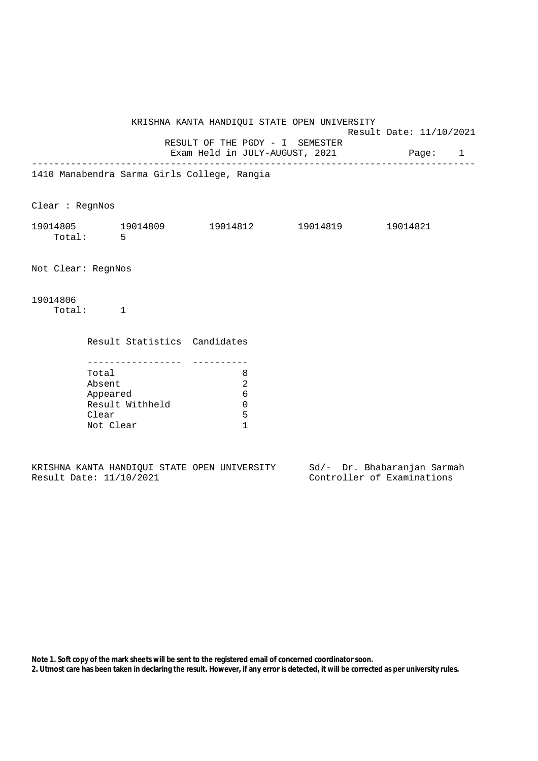|                    |                                                   |                              |                                             | KRISHNA KANTA HANDIQUI STATE OPEN UNIVERSITY                                                           | Result Date: 11/10/2021 |  |
|--------------------|---------------------------------------------------|------------------------------|---------------------------------------------|--------------------------------------------------------------------------------------------------------|-------------------------|--|
|                    |                                                   |                              | RESULT OF THE PGDY - I SEMESTER             | Exam Held in JULY-AUGUST, 2021 Page: 1<br>_____________________________________                        |                         |  |
|                    |                                                   |                              | 1410 Manabendra Sarma Girls College, Rangia |                                                                                                        |                         |  |
| Clear : RegnNos    |                                                   |                              |                                             |                                                                                                        |                         |  |
|                    | Total: 5                                          |                              |                                             | $19014805 \qquad \qquad 19014809 \qquad \qquad 19014812 \qquad \qquad 19014819 \qquad \qquad 19014821$ |                         |  |
| Not Clear: RegnNos |                                                   |                              |                                             |                                                                                                        |                         |  |
| 19014806           | Total: 1                                          |                              |                                             |                                                                                                        |                         |  |
|                    |                                                   | Result Statistics Candidates |                                             |                                                                                                        |                         |  |
|                    | Total<br>Absent<br>Appeared<br>Clear<br>Not Clear | Result Withheld              | 8<br>2<br>6<br>0<br>5<br>$\mathbf{1}$       |                                                                                                        |                         |  |

|  |                         |  | KRISHNA KANTA HANDIOUI STATE OPEN UNIVERSITY |  | Sd/- Dr. Bhabaranjan Sarmah |  |
|--|-------------------------|--|----------------------------------------------|--|-----------------------------|--|
|  | Result Date: 11/10/2021 |  |                                              |  | Controller of Examinations  |  |

**Note 1. Soft copy of the mark sheets will be sent to the registered email of concerned coordinator soon.**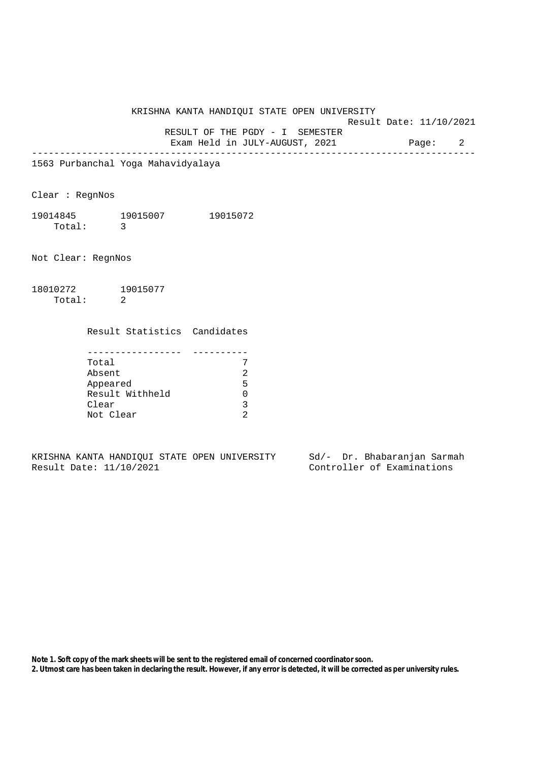KRISHNA KANTA HANDIQUI STATE OPEN UNIVERSITY

Result Date: 11/10/2021

 RESULT OF THE PGDY - I SEMESTER Exam Held in JULY-AUGUST, 2021 Page: 2

--------------------------------------------------------------------------------

1563 Purbanchal Yoga Mahavidyalaya

Clear : RegnNos

19014845 19015007 19015072 Total: 3

Not Clear: RegnNos

18010272 19015077 Total: 2

Result Statistics Candidates

| Total           |   |
|-----------------|---|
| Absent          |   |
| Appeared        | 5 |
| Result Withheld |   |
| Clear           |   |
| Not Clear       |   |

KRISHNA KANTA HANDIQUI STATE OPEN UNIVERSITY Sd/- Dr. Bhabaranjan Sarmah Result Date: 11/10/2021 Controller of Examinations

**Note 1. Soft copy of the mark sheets will be sent to the registered email of concerned coordinator soon.**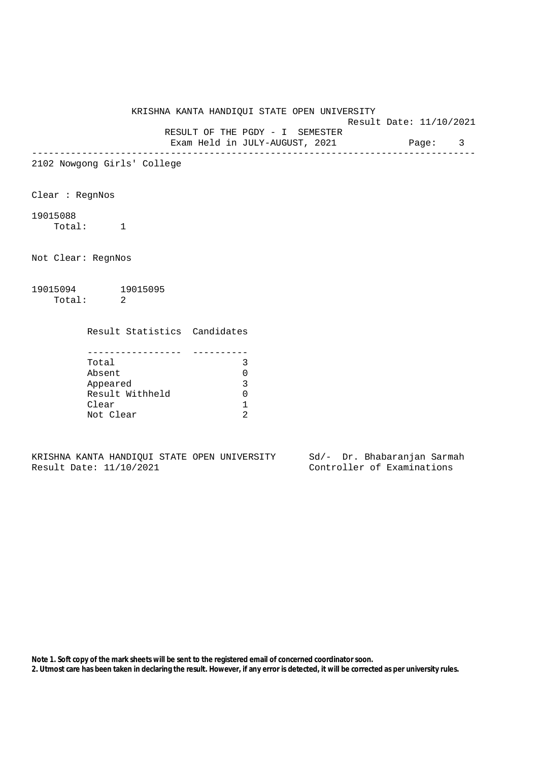## KRISHNA KANTA HANDIQUI STATE OPEN UNIVERSITY

Result Date: 11/10/2021

RESULT OF THE PGDY - I SEMESTER

Exam Held in JULY-AUGUST, 2021 Page: 3 --------------------------------------------------------------------------------

2102 Nowgong Girls' College

Clear : RegnNos

## 19015088

Total: 1

Not Clear: RegnNos

19015094 19015095 Total: 2

Result Statistics Candidates

| Total           |  |
|-----------------|--|
| Absent          |  |
| Appeared        |  |
| Result Withheld |  |
| Clear           |  |
| Not Clear       |  |

KRISHNA KANTA HANDIQUI STATE OPEN UNIVERSITY Sd/- Dr. Bhabaranjan Sarmah Result Date: 11/10/2021 Controller of Examinations

**Note 1. Soft copy of the mark sheets will be sent to the registered email of concerned coordinator soon.**